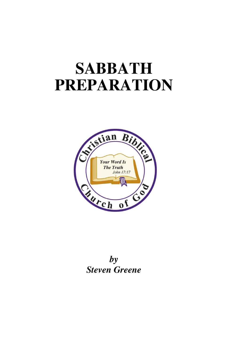# **SABBATH PREPARATION**



*by Steven Greene*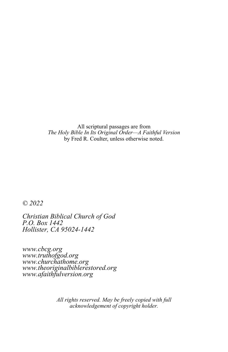All scriptural passages are from *The Holy Bible In Its Original Order—A Faithful Version*  by Fred R. Coulter, unless otherwise noted.

*© 2022* 

*Christian Biblical Church of God P.O. Box 1442 Hollister, CA 95024-1442*

*www.cbcg.org www.truthofgod.org www.churchathome.org www.theoriginalbiblerestored.org www.afaithfulversion.org* 

> *All rights reserved. May be freely copied with full acknowledgement of copyright holder.*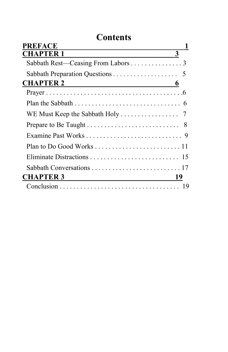### **Contents**

| <b>PREFACE</b>                                                  |                         |
|-----------------------------------------------------------------|-------------------------|
| <b>CHAPTER 1</b>                                                | $\overline{\mathbf{3}}$ |
| Sabbath Rest—Ceasing From Labors 3                              |                         |
|                                                                 |                         |
| <b>CHAPTER 2</b><br><u>6</u>                                    |                         |
|                                                                 |                         |
|                                                                 |                         |
| WE Must Keep the Sabbath Holy $\dots \dots \dots \dots \dots$ 7 |                         |
|                                                                 |                         |
|                                                                 |                         |
|                                                                 |                         |
|                                                                 |                         |
|                                                                 |                         |
| <b>CHAPTER 3</b>                                                | 19                      |
|                                                                 |                         |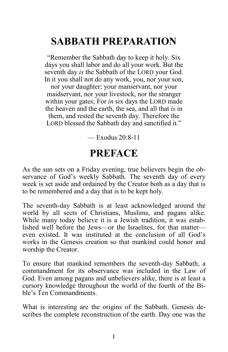# **SABBATH PREPARATION**

"Remember the Sabbath day to keep it holy. Six days you shall labor and do all your work. But the seventh day *is* the Sabbath of the LORD your God. In it you shall not do any work, you, nor your son, nor your daughter; your manservant, nor your maidservant, nor your livestock, nor the stranger within your gates; For *in* six days the LORD made the heaven and the earth, the sea, and all that *is* in them, and rested the seventh day. Therefore the LORD blessed the Sabbath day and sanctified it."

 $-$  Exodus 20:8-11

### **PREFACE**

As the sun sets on a Friday evening, true believers begin the observance of God's weekly Sabbath. The seventh day of every week is set aside and ordained by the Creator both as a day that is to be remembered and a day that is to be kept holy.

The seventh-day Sabbath is at least acknowledged around the world by all sects of Christians, Muslims, and pagans alike. While many today believe it is a Jewish tradition, it was established well before the Jews—or the Israelites, for that matter even existed. It was instituted at the conclusion of all God's works in the Genesis creation so that mankind could honor and worship the Creator.

To ensure that mankind remembers the seventh-day Sabbath, a commandment for its observance was included in the Law of God. Even among pagans and unbelievers alike, there is at least a cursory knowledge throughout the world of the fourth of the Bible's Ten Commandments.

What is interesting are the origins of the Sabbath. Genesis describes the complete reconstruction of the earth. Day one was the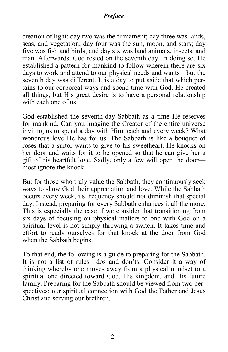#### *Preface*

creation of light; day two was the firmament; day three was lands, seas, and vegetation; day four was the sun, moon, and stars; day five was fish and birds; and day six was land animals, insects, and man. Afterwards, God rested on the seventh day. In doing so, He established a pattern for mankind to follow wherein there are six days to work and attend to our physical needs and wants—but the seventh day was different. It is a day to put aside that which pertains to our corporeal ways and spend time with God. He created all things, but His great desire is to have a personal relationship with each one of us.

God established the seventh-day Sabbath as a time He reserves for mankind. Can you imagine the Creator of the entire universe inviting us to spend a day with Him, each and every week? What wondrous love He has for us. The Sabbath is like a bouquet of roses that a suitor wants to give to his sweetheart. He knocks on her door and waits for it to be opened so that he can give her a gift of his heartfelt love. Sadly, only a few will open the door most ignore the knock.

But for those who truly value the Sabbath, they continuously seek ways to show God their appreciation and love. While the Sabbath occurs every week, its frequency should not diminish that special day. Instead, preparing for every Sabbath enhances it all the more. This is especially the case if we consider that transitioning from six days of focusing on physical matters to one with God on a spiritual level is not simply throwing a switch. It takes time and effort to ready ourselves for that knock at the door from God when the Sabbath begins.

To that end, the following is a guide to preparing for the Sabbath. It is not a list of rules—dos and don'ts. Consider it a way of thinking whereby one moves away from a physical mindset to a spiritual one directed toward God, His kingdom, and His future family. Preparing for the Sabbath should be viewed from two perspectives: our spiritual connection with God the Father and Jesus Christ and serving our brethren.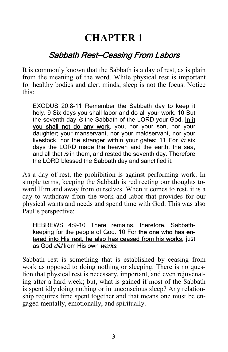### **CHAPTER 1**

### Sabbath Rest—Ceasing From Labors

It is commonly known that the Sabbath is a day of rest, as is plain from the meaning of the word. While physical rest is important for healthy bodies and alert minds, sleep is not the focus. Notice this:

EXODUS 20:8-11 Remember the Sabbath day to keep it holy. 9 Six days you shall labor and do all your work. 10 But the seventh day is the Sabbath of the LORD your God. In it you shall not do any work, you, nor your son, nor your daughter; your manservant, nor your maidservant, nor your livestock, nor the stranger within your gates; 11 For in six days the LORD made the heaven and the earth, the sea, and all that is in them, and rested the seventh day. Therefore the LORD blessed the Sabbath day and sanctified it.

As a day of rest, the prohibition is against performing work. In simple terms, keeping the Sabbath is redirecting our thoughts toward Him and away from ourselves. When it comes to rest, it is a day to withdraw from the work and labor that provides for our physical wants and needs and spend time with God. This was also Paul's perspective:

HEBREWS 4:9-10 There remains, therefore, Sabbathkeeping for the people of God. 10 For the one who has entered into His rest, he also has ceased from his works, just as God *did* from His own *works*.

Sabbath rest is something that is established by ceasing from work as opposed to doing nothing or sleeping. There is no question that physical rest is necessary, important, and even rejuvenating after a hard week; but, what is gained if most of the Sabbath is spent idly doing nothing or in unconscious sleep? Any relationship requires time spent together and that means one must be engaged mentally, emotionally, and spiritually.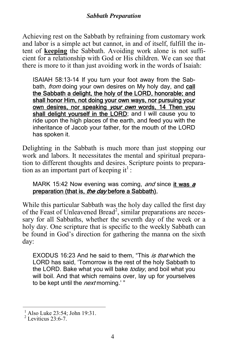Achieving rest on the Sabbath by refraining from customary work and labor is a simple act but cannot, in and of itself, fulfill the intent of **keeping** the Sabbath. Avoiding work alone is not sufficient for a relationship with God or His children. We can see that there is more to it than just avoiding work in the words of Isaiah:

ISAIAH 58:13-14 If you turn your foot away from the Sabbath, *from* doing your own desires on My holy day, and call the Sabbath a delight, the holy of the LORD, honorable; and shall honor Him, not doing your own ways, nor pursuing your own desires, nor speaking your own words, 14 Then you shall delight yourself in the LORD; and I will cause you to ride upon the high places of the earth, and feed you with the inheritance of Jacob your father, for the mouth of the LORD has spoken it.

Delighting in the Sabbath is much more than just stopping our work and labors. It necessitates the mental and spiritual preparation to different thoughts and desires. Scripture points to preparation as an important part of keeping it<sup>1</sup>:

MARK 15:42 Now evening was coming, and since it was a preparation (that is, the day before a Sabbath),

While this particular Sabbath was the holy day called the first day of the Feast of Unleavened Bread<sup>2</sup>, similar preparations are necessary for all Sabbaths, whether the seventh day of the week or a holy day. One scripture that is specific to the weekly Sabbath can be found in God's direction for gathering the manna on the sixth day:

EXODUS 16:23 And he said to them, "This is that which the LORD has said, 'Tomorrow is the rest of the holy Sabbath to the LORD. Bake what you will bake today, and boil what you will boil. And that which remains over, lay up for yourselves to be kept until the *next* morning.'"

<sup>&</sup>lt;sup>1</sup> Also Luke 23:54; John 19:31.<br><sup>2</sup> Leviticus 23:6-7.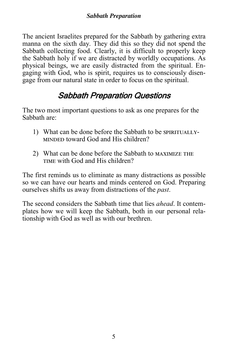The ancient Israelites prepared for the Sabbath by gathering extra manna on the sixth day. They did this so they did not spend the Sabbath collecting food. Clearly, it is difficult to properly keep the Sabbath holy if we are distracted by worldly occupations. As physical beings, we are easily distracted from the spiritual. Engaging with God, who is spirit, requires us to consciously disengage from our natural state in order to focus on the spiritual.

### Sabbath Preparation Questions

The two most important questions to ask as one prepares for the Sabbath are:

- 1) What can be done before the Sabbath to be SPIRITUALLY-MINDED toward God and His children?
- 2) What can be done before the Sabbath to MAXIMIZE THE TIME with God and His children?

The first reminds us to eliminate as many distractions as possible so we can have our hearts and minds centered on God. Preparing ourselves shifts us away from distractions of the *past*.

The second considers the Sabbath time that lies *ahead*. It contemplates how we will keep the Sabbath, both in our personal relationship with God as well as with our brethren.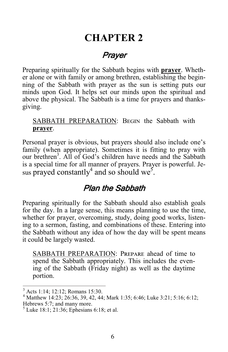### **CHAPTER 2**

### Prayer

Preparing spiritually for the Sabbath begins with **prayer**. Whether alone or with family or among brethren, establishing the beginning of the Sabbath with prayer as the sun is setting puts our minds upon God. It helps set our minds upon the spiritual and above the physical. The Sabbath is a time for prayers and thanksgiving.

### SABBATH PREPARATION: BEGIN the Sabbath with **prayer**.

Personal prayer is obvious, but prayers should also include one's family (when appropriate). Sometimes it is fitting to pray with our brethren<sup>3</sup>. All of God's children have needs and the Sabbath is a special time for all manner of prayers. Prayer is powerful. Jesus prayed constantly<sup>4</sup> and so should we<sup>5</sup>.

### Plan the Sabbath

Preparing spiritually for the Sabbath should also establish goals for the day. In a large sense, this means planning to use the time, whether for prayer, overcoming, study, doing good works, listening to a sermon, fasting, and combinations of these. Entering into the Sabbath without any idea of how the day will be spent means it could be largely wasted.

SABBATH PREPARATION: PREPARE ahead of time to spend the Sabbath appropriately. This includes the evening of the Sabbath (Friday night) as well as the daytime portion.

<sup>3</sup> Acts 1:14; 12:12; Romans 15:30.

<sup>4</sup> Matthew 14:23; 26:36, 39, 42, 44; Mark 1:35; 6:46; Luke 3:21; 5:16; 6:12; Hebrews 5:7; and many more.

 $<sup>5</sup>$  Luke 18:1; 21:36; Ephesians 6:18; et al.</sup>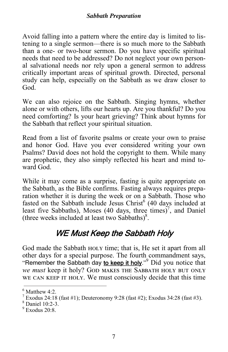Avoid falling into a pattern where the entire day is limited to listening to a single sermon—there is so much more to the Sabbath than a one- or two-hour sermon. Do you have specific spiritual needs that need to be addressed? Do not neglect your own personal salvational needs nor rely upon a general sermon to address critically important areas of spiritual growth. Directed, personal study can help, especially on the Sabbath as we draw closer to God.

We can also rejoice on the Sabbath. Singing hymns, whether alone or with others, lifts our hearts up. Are you thankful? Do you need comforting? Is your heart grieving? Think about hymns for the Sabbath that reflect your spiritual situation.

Read from a list of favorite psalms or create your own to praise and honor God. Have you ever considered writing your own Psalms? David does not hold the copyright to them. While many are prophetic, they also simply reflected his heart and mind toward God.

While it may come as a surprise, fasting is quite appropriate on the Sabbath, as the Bible confirms. Fasting always requires preparation whether it is during the week or on a Sabbath. Those who fasted on the Sabbath include Jesus Christ<sup>6</sup> (40 days included at least five Sabbaths), Moses (40 days, three times)<sup>7</sup>, and Daniel (three weeks included at least two Sabbaths) $8$ .

### WE Must Keep the Sabbath Holy

God made the Sabbath HOLY time; that is, He set it apart from all other days for a special purpose. The fourth commandment says, "Remember the Sabbath day to keep it holy."<sup>9</sup> Did you notice that *we must* keep it holy? GOD MAKES THE SABBATH HOLY BUT ONLY WE CAN KEEP IT HOLY. We must consciously decide that this time

Daniel 10:2-3.

 $<sup>6</sup>$  Matthew 4:2.</sup>

<sup>&</sup>lt;sup>7</sup> Exodus 24:18 (fast #1); Deuteronomy 9:28 (fast #2); Exodus 34:28 (fast #3).

 $9$  Exodus 20:8.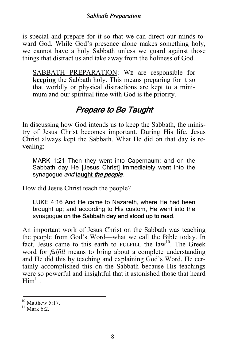is special and prepare for it so that we can direct our minds toward God. While God's presence alone makes something holy, we cannot have a holy Sabbath unless we guard against those things that distract us and take away from the holiness of God.

SABBATH PREPARATION: WE are responsible for **keeping** the Sabbath holy. This means preparing for it so that worldly or physical distractions are kept to a minimum and our spiritual time with God is the priority.

### Prepare to Be Taught

In discussing how God intends us to keep the Sabbath, the ministry of Jesus Christ becomes important. During His life, Jesus Christ always kept the Sabbath. What He did on that day is revealing:

MARK 1:21 Then they went into Capernaum; and on the Sabbath day He [Jesus Christ] immediately went into the synagogue and taught the people.

How did Jesus Christ teach the people?

LUKE 4:16 And He came to Nazareth, where He had been brought up; and according to His custom, He went into the synagogue on the Sabbath day and stood up to read.

An important work of Jesus Christ on the Sabbath was teaching the people from God's Word—what we call the Bible today. In fact, Jesus came to this earth to FULFILL the law<sup>10</sup>. The Greek word for *fulfill* means to bring about a complete understanding and He did this by teaching and explaining God's Word. He certainly accomplished this on the Sabbath because His teachings were so powerful and insightful that it astonished those that heard  $\text{Him}^{11}$ .

<sup>&</sup>lt;sup>10</sup> Matthew 5:17.<br><sup>11</sup> Mark 6:2.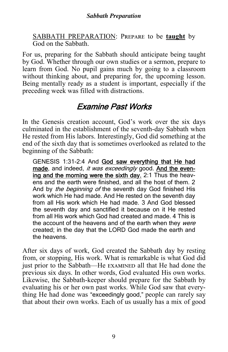SABBATH PREPARATION: PREPARE to be **taught** by  $\overline{God}$  on the Sabbath.

For us, preparing for the Sabbath should anticipate being taught by God. Whether through our own studies or a sermon, prepare to learn from God. No pupil gains much by going to a classroom without thinking about, and preparing for, the upcoming lesson. Being mentally ready as a student is important, especially if the preceding week was filled with distractions.

### Examine Past Works

In the Genesis creation account, God's work over the six days culminated in the establishment of the seventh-day Sabbath when He rested from His labors. Interestingly, God did something at the end of the sixth day that is sometimes overlooked as related to the beginning of the Sabbath:

GENESIS 1:31-2:4 And God saw everything that He had made. and indeed, it was exceedingly good. And the evening and the morning were the sixth day. 2:1 Thus the heavens and the earth were finished, and all the host of them. 2 And by the beginning of the seventh day God finished His work which He had made. And He rested on the seventh day from all His work which He had made. 3 And God blessed the seventh day and sanctified it because on it He rested from all His work which God had created and made. 4 This is the account of the heavens and of the earth when they were created; in the day that the LORD God made the earth and the heavens.

After six days of work, God created the Sabbath day by resting from, or stopping, His work. What is remarkable is what God did just prior to the Sabbath—He EXAMINED all that He had done the previous six days. In other words, God evaluated His own works. Likewise, the Sabbath-keeper should prepare for the Sabbath by evaluating his or her own past works. While God saw that everything He had done was "exceedingly good," people can rarely say that about their own works. Each of us usually has a mix of good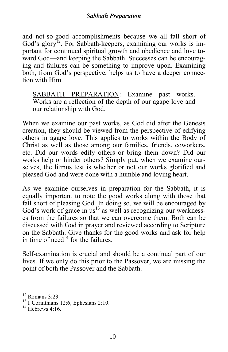and not-so-good accomplishments because we all fall short of God's glory<sup>12</sup>. For Sabbath-keepers, examining our works is important for continued spiritual growth and obedience and love toward God—and keeping the Sabbath. Successes can be encouraging and failures can be something to improve upon. Examining both, from God's perspective, helps us to have a deeper connection with Him.

SABBATH PREPARATION: Examine past works. Works are a reflection of the depth of our agape love and our relationship with God.

When we examine our past works, as God did after the Genesis creation, they should be viewed from the perspective of edifying others in agape love. This applies to works within the Body of Christ as well as those among our families, friends, coworkers, etc. Did our words edify others or bring them down? Did our works help or hinder others? Simply put, when we examine ourselves, the litmus test is whether or not our works glorified and pleased God and were done with a humble and loving heart.

As we examine ourselves in preparation for the Sabbath, it is equally important to note the good works along with those that fall short of pleasing God. In doing so, we will be encouraged by God's work of grace in  $us<sup>13</sup>$  as well as recognizing our weaknesses from the failures so that we can overcome them. Both can be discussed with God in prayer and reviewed according to Scripture on the Sabbath. Give thanks for the good works and ask for help in time of need<sup>14</sup> for the failures.

Self-examination is crucial and should be a continual part of our lives. If we only do this prior to the Passover, we are missing the point of both the Passover and the Sabbath.

<sup>12</sup> Romans 3:23.

<sup>&</sup>lt;sup>13</sup> 1 Corinthians 12:6; Ephesians 2:10.<br><sup>14</sup> Hebrews 4:16.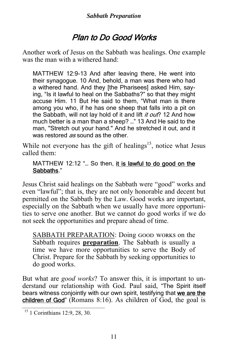### Plan to Do Good Works

Another work of Jesus on the Sabbath was healings. One example was the man with a withered hand:

MATTHEW 12:9-13 And after leaving there, He went into their synagogue. 10 And, behold, a man was there who had a withered hand. And they [the Pharisees] asked Him, saying, "Is it lawful to heal on the Sabbaths?" so that they might accuse Him. 11 But He said to them, "What man is there among you who, if he has one sheep that falls into a pit on the Sabbath, will not lay hold of it and lift it out? 12 And how much better is a man than a sheep? …" 13 And He said to the man, "Stretch out your hand." And he stretched it out, and it was restored as sound as the other.

While not everyone has the gift of healings<sup>15</sup>, notice what Jesus called them:

MATTHEW 12:12 "... So then, it is lawful to do good on the Sabbaths."

Jesus Christ said healings on the Sabbath were "good" works and even "lawful"; that is, they are not only honorable and decent but permitted on the Sabbath by the Law. Good works are important, especially on the Sabbath when we usually have more opportunities to serve one another. But we cannot do good works if we do not seek the opportunities and prepare ahead of time.

SABBATH PREPARATION: Doing GOOD WORKS on the Sabbath requires **preparation**. The Sabbath is usually a time we have more opportunities to serve the Body of Christ. Prepare for the Sabbath by seeking opportunities to do good works.

But what are *good works*? To answer this, it is important to understand our relationship with God. Paul said, "The Spirit itself bears witness conjointly with our own spirit, testifying that we are the children of God" (Romans 8:16). As children of God, the goal is

<sup>15 1</sup> Corinthians 12:9, 28, 30.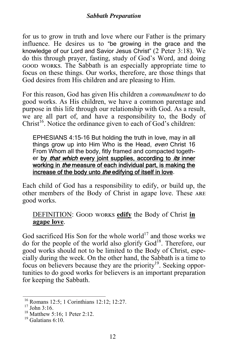for us to grow in truth and love where our Father is the primary influence. He desires us to "be growing in the grace and the knowledge of our Lord and Savior Jesus Christ" (2 Peter 3:18). We do this through prayer, fasting, study of God's Word, and doing GOOD WORKS. The Sabbath is an especially appropriate time to focus on these things. Our works, therefore, are those things that God desires from His children and are pleasing to Him.

For this reason, God has given His children a *commandment* to do good works. As His children, we have a common parentage and purpose in this life through our relationship with God. As a result, we are all part of, and have a responsibility to, the Body of  $Christ<sup>16</sup>$ . Notice the ordinance given to each of God's children:

EPHESIANS 4:15-16 But holding the truth in love, may in all things grow up into Him Who is the Head, even Christ 16 From Whom all the body, fitly framed and compacted together by *that which* every joint supplies, according to *its* inner working in *the* measure of each individual part, is making the increase of the body unto the edifying of itself in love.

Each child of God has a responsibility to edify, or build up, the other members of the Body of Christ in agape love. These ARE good works.

### DEFINITION: GOOD WORKS edify the Body of Christ in **agape love**.

God sacrificed His Son for the whole world $17$  and those works we do for the people of the world also glorify God18. Therefore, our good works should not to be limited to the Body of Christ, especially during the week. On the other hand, the Sabbath is a time to focus on believers because they are the priority<sup>19</sup>. Seeking opportunities to do good works for believers is an important preparation for keeping the Sabbath.

<sup>18</sup> Matthew 5:16; 1 Peter 2:12.

<sup>16</sup> Romans 12:5; 1 Corinthians 12:12; 12:27.

 $17$  John 3:16.

 $19$  Galatians 6:10.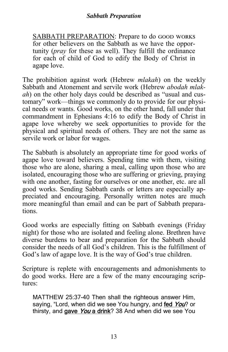SABBATH PREPARATION: Prepare to do GOOD WORKS for other believers on the Sabbath as we have the opportunity (*pray* for these as well). They fulfill the ordinance for each of child of God to edify the Body of Christ in agape love.

The prohibition against work (Hebrew *mlakah*) on the weekly Sabbath and Atonement and servile work (Hebrew *abodah mlakah*) on the other holy days could be described as "usual and customary" work—things we commonly do to provide for our physical needs or wants. Good works, on the other hand, fall under that commandment in Ephesians 4:16 to edify the Body of Christ in agape love whereby we seek opportunities to provide for the physical and spiritual needs of others. They are not the same as servile work or labor for wages.

The Sabbath is absolutely an appropriate time for good works of agape love toward believers. Spending time with them, visiting those who are alone, sharing a meal, calling upon those who are isolated, encouraging those who are suffering or grieving, praying with one another, fasting for ourselves or one another, etc. are all good works. Sending Sabbath cards or letters are especially appreciated and encouraging. Personally written notes are much more meaningful than email and can be part of Sabbath preparations.

Good works are especially fitting on Sabbath evenings (Friday night) for those who are isolated and feeling alone. Brethren have diverse burdens to bear and preparation for the Sabbath should consider the needs of all God's children. This is the fulfillment of God's law of agape love. It is the way of God's true children.

Scripture is replete with encouragements and admonishments to do good works. Here are a few of the many encouraging scriptures:

MATTHEW 25:37-40 Then shall the righteous answer Him, saying, "Lord, when did we see You hungry, and fed You? or thirsty, and gave You a drink? 38 And when did we see You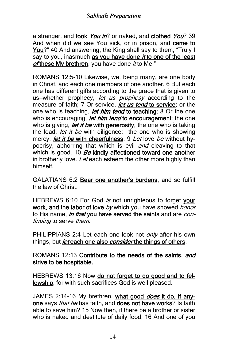a stranger, and took You in? or naked, and clothed You? 39 And when did we see You sick, or in prison, and came to You?" 40 And answering, the King shall say to them, "Truly I  $\overline{say}$  to you, inasmuch as you have done *it* to one of the least of these My brethren, you have done it to Me."

ROMANS 12:5-10 Likewise, we, being many, are one body in Christ, and each one members of one another. 6 But each one has different gifts according to the grace that is given to us-whether prophecy, let us prophesy according to the measure of faith; 7 Or service, *let us tend* to service; or the one who is teaching, *let him tend* to teaching; 8 Or the one who is encouraging, *let him tend* to encouragement; the one who is giving, *let it be* with generosity; the one who is taking the lead, *let it be* with diligence; the one who is showing mercy, *let it be* with cheerfulness. 9 Let love be without hypocrisy, abhorring that which is evil *and* cleaving to that which is good.  $10$  Be kindly affectioned toward one another in brotherly love. Let each esteem the other more highly than himself.

GALATIANS 6:2 Bear one another's burdens, and so fulfill the law of Christ.

HEBREWS 6:10 For God is not unrighteous to forget your work, and the labor of love by which you have showed honor to His name, in that you have served the saints and are continuing to serve them.

PHILIPPIANS 2:4 Let each one look not *only* after his own things, but *let* each one also *consider* the things of others.

#### ROMANS 12:13 Contribute to the needs of the saints, and strive to be hospitable.

HEBREWS 13:16 Now do not forget to do good and to fellowship, for with such sacrifices God is well pleased.

JAMES 2:14-16 My brethren, what good *does* it do, if anyone says *that he* has faith, and does not have works? Is faith able to save him? 15 Now then, if there be a brother or sister who is naked and destitute of daily food, 16 And one of you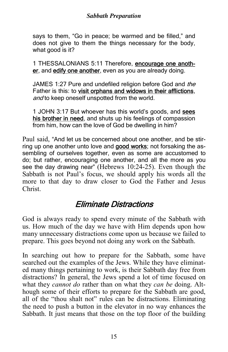#### *Sabbath Preparation*

says to them, "Go in peace; be warmed and be filled," and does not give to them the things necessary for the body, what good is it?

1 THESSALONIANS 5:11 Therefore, encourage one another, and edify one another, even as you are already doing.

JAMES 1:27 Pure and undefiled religion before God and the Father is this: to visit orphans and widows in their afflictions, and to keep oneself unspotted from the world.

1 JOHN 3:17 But whoever has this world's goods, and sees his brother in need, and shuts up his feelings of compassion from him, how can the love of God be dwelling in him?

Paul said, "And let us be concerned about one another, and be stirring up one another unto love and good works; not forsaking the assembling of ourselves together, even as some are accustomed to do; but rather, encouraging one another, and all the more as you see the day drawing near" (Hebrews 10:24-25). Even though the Sabbath is not Paul's focus, we should apply his words all the more to that day to draw closer to God the Father and Jesus Christ.

### Eliminate Distractions

God is always ready to spend every minute of the Sabbath with us. How much of the day we have with Him depends upon how many unnecessary distractions come upon us because we failed to prepare. This goes beyond not doing any work on the Sabbath.

In searching out how to prepare for the Sabbath, some have searched out the examples of the Jews. While they have eliminated many things pertaining to work, is their Sabbath day free from distractions? In general, the Jews spend a lot of time focused on what they *cannot do* rather than on what they *can be* doing. Although some of their efforts to prepare for the Sabbath are good, all of the "thou shalt not" rules can be distractions. Eliminating the need to push a button in the elevator in no way enhances the Sabbath. It just means that those on the top floor of the building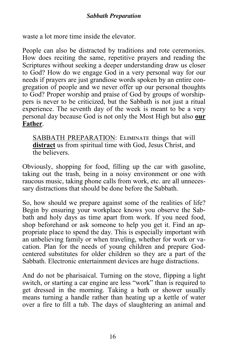waste a lot more time inside the elevator.

People can also be distracted by traditions and rote ceremonies. How does reciting the same, repetitive prayers and reading the Scriptures without seeking a deeper understanding draw us closer to God? How do we engage God in a very personal way for our needs if prayers are just grandiose words spoken by an entire congregation of people and we never offer up our personal thoughts to God? Proper worship and praise of God by groups of worshippers is never to be criticized, but the Sabbath is not just a ritual experience. The seventh day of the week is meant to be a very personal day because God is not only the Most High but also **our Father**.

SABBATH PREPARATION: ELIMINATE things that will **distract** us from spiritual time with God, Jesus Christ, and the believers.

Obviously, shopping for food, filling up the car with gasoline, taking out the trash, being in a noisy environment or one with raucous music, taking phone calls from work, etc. are all unnecessary distractions that should be done before the Sabbath.

So, how should we prepare against some of the realities of life? Begin by ensuring your workplace knows you observe the Sabbath and holy days as time apart from work. If you need food, shop beforehand or ask someone to help you get it. Find an appropriate place to spend the day. This is especially important with an unbelieving family or when traveling, whether for work or vacation. Plan for the needs of young children and prepare Godcentered substitutes for older children so they are a part of the Sabbath. Electronic entertainment devices are huge distractions.

And do not be pharisaical. Turning on the stove, flipping a light switch, or starting a car engine are less "work" than is required to get dressed in the morning. Taking a bath or shower usually means turning a handle rather than heating up a kettle of water over a fire to fill a tub. The days of slaughtering an animal and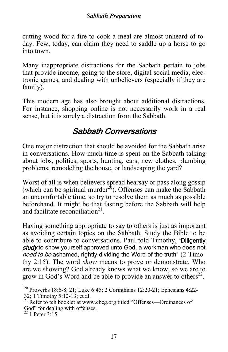#### *Sabbath Preparation*

cutting wood for a fire to cook a meal are almost unheard of today. Few, today, can claim they need to saddle up a horse to go into town.

Many inappropriate distractions for the Sabbath pertain to jobs that provide income, going to the store, digital social media, electronic games, and dealing with unbelievers (especially if they are family).

This modern age has also brought about additional distractions. For instance, shopping online is not necessarily work in a real sense, but it is surely a distraction from the Sabbath.

### Sabbath Conversations

One major distraction that should be avoided for the Sabbath arise in conversations. How much time is spent on the Sabbath talking about jobs, politics, sports, hunting, cars, new clothes, plumbing problems, remodeling the house, or landscaping the yard?

Worst of all is when believers spread hearsay or pass along gossip (which can be spiritual murder<sup>20</sup>). Offenses can make the Sabbath an uncomfortable time, so try to resolve them as much as possible beforehand. It might be that fasting before the Sabbath will help and facilitate reconciliation $21$ .

Having something appropriate to say to others is just as important as avoiding certain topics on the Sabbath. Study the Bible to be able to contribute to conversations. Paul told Timothy, "Diligently study to show yourself approved unto God, a workman who does not need to be ashamed, rightly dividing the Word of the truth" (2 Timothy 2:15). The word *show* means to prove or demonstrate. Who are we showing? God already knows what we know, so we are to grow in God's Word and be able to provide an answer to others $^{22}$ .

<sup>20</sup> Proverbs 18:6-8; 21; Luke 6:45; 2 Corinthians 12:20-21; Ephesians 4:22- 32; 1 Timothy 5:12-13; et al.

<sup>&</sup>lt;sup>21</sup> Refer to teh booklet at www.cbcg.org titled "Offenses—Ordinances of God" for dealing with offenses.

 $^{22}$  1 Peter 3:15.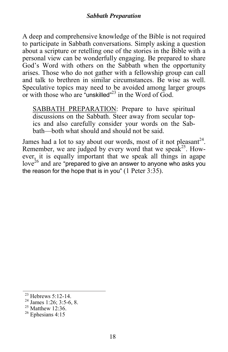A deep and comprehensive knowledge of the Bible is not required to participate in Sabbath conversations. Simply asking a question about a scripture or retelling one of the stories in the Bible with a personal view can be wonderfully engaging. Be prepared to share God's Word with others on the Sabbath when the opportunity arises. Those who do not gather with a fellowship group can call and talk to brethren in similar circumstances. Be wise as well. Speculative topics may need to be avoided among larger groups or with those who are "unskilled"<sup>23</sup> in the Word of God.

SABBATH PREPARATION: Prepare to have spiritual discussions on the Sabbath. Steer away from secular topics and also carefully consider your words on the Sabbath—both what should and should not be said.

James had a lot to say about our words, most of it not pleasant<sup>24</sup>. Remember, we are judged by every word that we speak<sup>25</sup>. However, it is equally important that we speak all things in agape  $\log^{26}$  and are "prepared to give an answer to anyone who asks you the reason for the hope that is in you"  $(1$  Peter  $3:35)$ .

<sup>&</sup>lt;sup>23</sup> Hebrews 5:12-14.<br><sup>24</sup> James 1:26: 3:5-6, 8.

 $25$  Matthew 12:36.

 $26$  Ephesians 4:15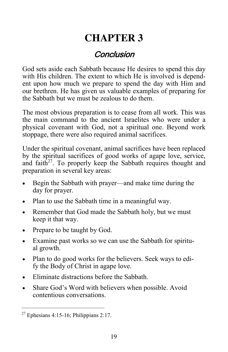# **CHAPTER 3**

### Conclusion

God sets aside each Sabbath because He desires to spend this day with His children. The extent to which He is involved is dependent upon how much we prepare to spend the day with Him and our brethren. He has given us valuable examples of preparing for the Sabbath but we must be zealous to do them.

The most obvious preparation is to cease from all work. This was the main command to the ancient Israelites who were under a physical covenant with God, not a spiritual one. Beyond work stoppage, there were also required animal sacrifices.

Under the spiritual covenant, animal sacrifices have been replaced by the spiritual sacrifices of good works of agape love, service, and faith<sup>27</sup>. To properly keep the Sabbath requires thought and preparation in several key areas:

- Begin the Sabbath with prayer—and make time during the day for prayer.
- Plan to use the Sabbath time in a meaningful way.
- Remember that God made the Sabbath holy, but we must keep it that way.
- Prepare to be taught by God.
- Examine past works so we can use the Sabbath for spiritual growth.
- Plan to do good works for the believers. Seek ways to edify the Body of Christ in agape love.
- Eliminate distractions before the Sabbath.
- Share God's Word with believers when possible. Avoid contentious conversations.

<sup>&</sup>lt;sup>27</sup> Ephesians 4:15-16; Philippians 2:17.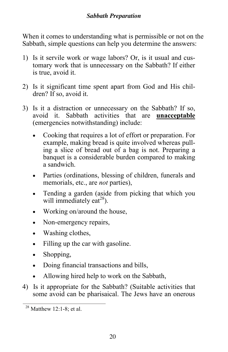#### *Sabbath Preparation*

When it comes to understanding what is permissible or not on the Sabbath, simple questions can help you determine the answers:

- 1) Is it servile work or wage labors? Or, is it usual and customary work that is unnecessary on the Sabbath? If either is true, avoid it.
- 2) Is it significant time spent apart from God and His children? If so, avoid it.
- 3) Is it a distraction or unnecessary on the Sabbath? If so, avoid it. Sabbath activities that are **unacceptable** (emergencies notwithstanding) include:
	- Cooking that requires a lot of effort or preparation. For example, making bread is quite involved whereas pulling a slice of bread out of a bag is not. Preparing a banquet is a considerable burden compared to making a sandwich.
	- Parties (ordinations, blessing of children, funerals and memorials, etc., are *not* parties),
	- Tending a garden (aside from picking that which you will immediately eat<sup>28</sup>).
	- Working on/around the house,
	- Non-emergency repairs,
	- Washing clothes,
	- Filling up the car with gasoline.
	- Shopping,
	- Doing financial transactions and bills,
	- Allowing hired help to work on the Sabbath,
- 4) Is it appropriate for the Sabbath? (Suitable activities that some avoid can be pharisaical. The Jews have an onerous

 $28$  Matthew 12:1-8; et al.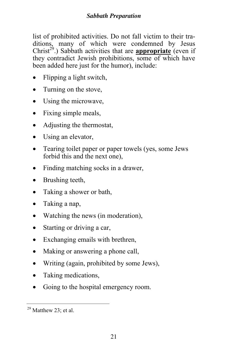list of prohibited activities. Do not fall victim to their traditions, many of which were condemned by Jesus Christ<sup>29</sup>.) Sabbath activities that are **appropriate** (even if they contradict Jewish prohibitions, some of which have been added here just for the humor), include:

- Flipping a light switch,
- Turning on the stove,
- Using the microwave,
- Fixing simple meals,
- Adjusting the thermostat,
- Using an elevator,
- Tearing toilet paper or paper towels (yes, some Jews) forbid this and the next one),
- Finding matching socks in a drawer,
- Brushing teeth,
- Taking a shower or bath,
- Taking a nap,
- Watching the news (in moderation),
- Starting or driving a car,
- Exchanging emails with brethren,
- Making or answering a phone call,
- Writing (again, prohibited by some Jews),
- Taking medications,
- Going to the hospital emergency room.

 $29$  Matthew 23; et al.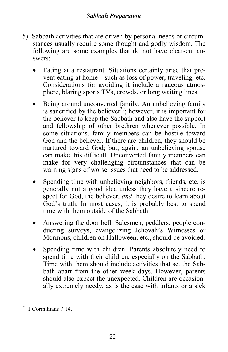#### *Sabbath Preparation*

- 5) Sabbath activities that are driven by personal needs or circumstances usually require some thought and godly wisdom. The following are some examples that do not have clear-cut answers:
	- Eating at a restaurant. Situations certainly arise that prevent eating at home—such as loss of power, traveling, etc. Considerations for avoiding it include a raucous atmosphere, blaring sports TVs, crowds, or long waiting lines.
	- Being around unconverted family. An unbelieving family is sanctified by the believer<sup>30</sup>; however, it is important for the believer to keep the Sabbath and also have the support and fellowship of other brethren whenever possible. In some situations, family members can be hostile toward God and the believer. If there are children, they should be nurtured toward God; but, again, an unbelieving spouse can make this difficult. Unconverted family members can make for very challenging circumstances that can be warning signs of worse issues that need to be addressed.
	- Spending time with unbelieving neighbors, friends, etc. is generally not a good idea unless they have a sincere respect for God, the believer, *and* they desire to learn about God's truth. In most cases, it is probably best to spend time with them outside of the Sabbath.
	- Answering the door bell. Salesmen, peddlers, people conducting surveys, evangelizing Jehovah's Witnesses or Mormons, children on Halloween, etc., should be avoided.
	- Spending time with children. Parents absolutely need to spend time with their children, especially on the Sabbath. Time with them should include activities that set the Sabbath apart from the other week days. However, parents should also expect the unexpected. Children are occasionally extremely needy, as is the case with infants or a sick

 $30$  1 Corinthians 7:14.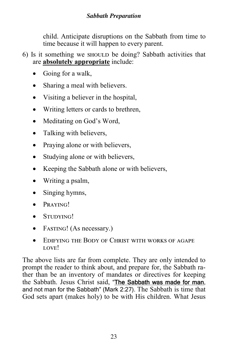child. Anticipate disruptions on the Sabbath from time to time because it will happen to every parent.

- 6) Is it something we should be doing? Sabbath activities that are **absolutely appropriate** include:
	- Going for a walk,
	- Sharing a meal with believers.
	- Visiting a believer in the hospital,
	- Writing letters or cards to brethren,
	- Meditating on God's Word,
	- Talking with believers,
	- Praying alone or with believers,
	- Studying alone or with believers,
	- Keeping the Sabbath alone or with believers,
	- Writing a psalm,
	- Singing hymns,
	- $\bullet$  PRAYING!
	- STUDYING!
	- FASTING! (As necessary.)
	- EDIFYING THE BODY OF CHRIST WITH WORKS OF AGAPE LOVE!

The above lists are far from complete. They are only intended to prompt the reader to think about, and prepare for, the Sabbath rather than be an inventory of mandates or directives for keeping the Sabbath. Jesus Christ said, "The Sabbath was made for man, and not man for the Sabbath" (Mark 2:27). The Sabbath is time that God sets apart (makes holy) to be with His children. What Jesus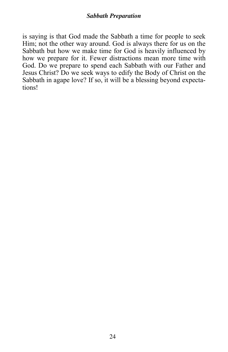#### *Sabbath Preparation*

is saying is that God made the Sabbath a time for people to seek Him; not the other way around. God is always there for us on the Sabbath but how we make time for God is heavily influenced by how we prepare for it. Fewer distractions mean more time with God. Do we prepare to spend each Sabbath with our Father and Jesus Christ? Do we seek ways to edify the Body of Christ on the Sabbath in agape love? If so, it will be a blessing beyond expectations!